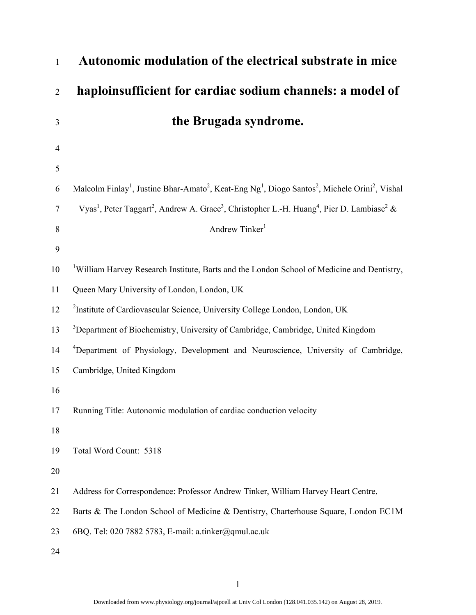| 1              | Autonomic modulation of the electrical substrate in mice                                                                                                   |
|----------------|------------------------------------------------------------------------------------------------------------------------------------------------------------|
| $\overline{2}$ | haploinsufficient for cardiac sodium channels: a model of                                                                                                  |
| 3              | the Brugada syndrome.                                                                                                                                      |
| 4              |                                                                                                                                                            |
| 5              |                                                                                                                                                            |
| 6              | Malcolm Finlay <sup>1</sup> , Justine Bhar-Amato <sup>2</sup> , Keat-Eng Ng <sup>1</sup> , Diogo Santos <sup>2</sup> , Michele Orini <sup>2</sup> , Vishal |
| $\tau$         | Vyas <sup>1</sup> , Peter Taggart <sup>2</sup> , Andrew A. Grace <sup>3</sup> , Christopher L.-H. Huang <sup>4</sup> , Pier D. Lambiase <sup>2</sup> &     |
| 8              | Andrew Tinker <sup>1</sup>                                                                                                                                 |
| 9              |                                                                                                                                                            |
| 10             | <sup>1</sup> William Harvey Research Institute, Barts and the London School of Medicine and Dentistry,                                                     |
| 11             | Queen Mary University of London, London, UK                                                                                                                |
| 12             | <sup>2</sup> Institute of Cardiovascular Science, University College London, London, UK                                                                    |
| 13             | <sup>3</sup> Department of Biochemistry, University of Cambridge, Cambridge, United Kingdom                                                                |
| 14             | <sup>4</sup> Department of Physiology, Development and Neuroscience, University of Cambridge,                                                              |
| 15             | Cambridge, United Kingdom                                                                                                                                  |
| 16             |                                                                                                                                                            |
| 17             | Running Title: Autonomic modulation of cardiac conduction velocity                                                                                         |
| 18             |                                                                                                                                                            |
| 19             | Total Word Count: 5318                                                                                                                                     |
| 20             |                                                                                                                                                            |
| 21             | Address for Correspondence: Professor Andrew Tinker, William Harvey Heart Centre,                                                                          |
| 22             | Barts & The London School of Medicine & Dentistry, Charterhouse Square, London EC1M                                                                        |
| 23             | 6BQ. Tel: 020 7882 5783, E-mail: a.tinker@qmul.ac.uk                                                                                                       |
| 24             |                                                                                                                                                            |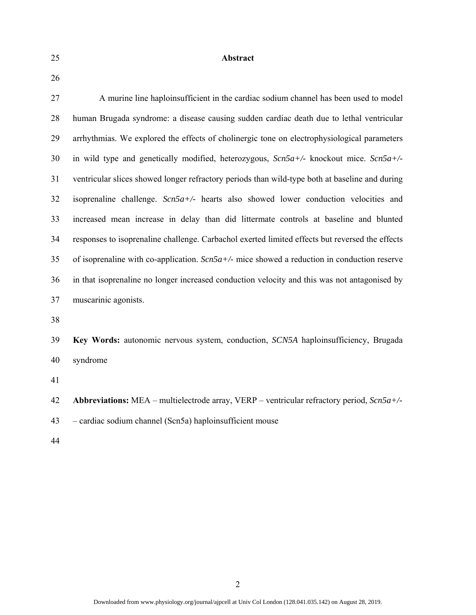25 **Abstract** 

26

27 A murine line haploinsufficient in the cardiac sodium channel has been used to model 28 human Brugada syndrome: a disease causing sudden cardiac death due to lethal ventricular 29 arrhythmias. We explored the effects of cholinergic tone on electrophysiological parameters 30 in wild type and genetically modified, heterozygous, *Scn5a+/-* knockout mice. *Scn5a+/-* 31 ventricular slices showed longer refractory periods than wild-type both at baseline and during 32 isoprenaline challenge. *Scn5a+/-* hearts also showed lower conduction velocities and 33 increased mean increase in delay than did littermate controls at baseline and blunted 34 responses to isoprenaline challenge. Carbachol exerted limited effects but reversed the effects 35 of isoprenaline with co-application. *Scn5a+/-* mice showed a reduction in conduction reserve 36 in that isoprenaline no longer increased conduction velocity and this was not antagonised by 37 muscarinic agonists. 38

39 **Key Words:** autonomic nervous system, conduction, *SCN5A* haploinsufficiency, Brugada 40 syndrome

41

42 **Abbreviations:** MEA – multielectrode array, VERP – ventricular refractory period, *Scn5a+/-*

43 – cardiac sodium channel (Scn5a) haploinsufficient mouse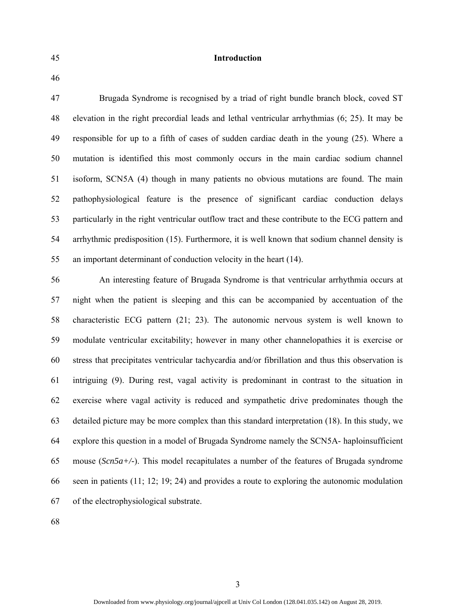## 45 **Introduction**

46

47 Brugada Syndrome is recognised by a triad of right bundle branch block, coved ST 48 elevation in the right precordial leads and lethal ventricular arrhythmias (6; 25). It may be 49 responsible for up to a fifth of cases of sudden cardiac death in the young (25). Where a 50 mutation is identified this most commonly occurs in the main cardiac sodium channel 51 isoform, SCN5A (4) though in many patients no obvious mutations are found. The main 52 pathophysiological feature is the presence of significant cardiac conduction delays 53 particularly in the right ventricular outflow tract and these contribute to the ECG pattern and 54 arrhythmic predisposition (15). Furthermore, it is well known that sodium channel density is 55 an important determinant of conduction velocity in the heart (14).

56 An interesting feature of Brugada Syndrome is that ventricular arrhythmia occurs at 57 night when the patient is sleeping and this can be accompanied by accentuation of the 58 characteristic ECG pattern (21; 23). The autonomic nervous system is well known to 59 modulate ventricular excitability; however in many other channelopathies it is exercise or 60 stress that precipitates ventricular tachycardia and/or fibrillation and thus this observation is 61 intriguing (9). During rest, vagal activity is predominant in contrast to the situation in 62 exercise where vagal activity is reduced and sympathetic drive predominates though the 63 detailed picture may be more complex than this standard interpretation (18). In this study, we 64 explore this question in a model of Brugada Syndrome namely the SCN5A- haploinsufficient 65 mouse (*Scn5a+/-*). This model recapitulates a number of the features of Brugada syndrome 66 seen in patients (11; 12; 19; 24) and provides a route to exploring the autonomic modulation 67 of the electrophysiological substrate.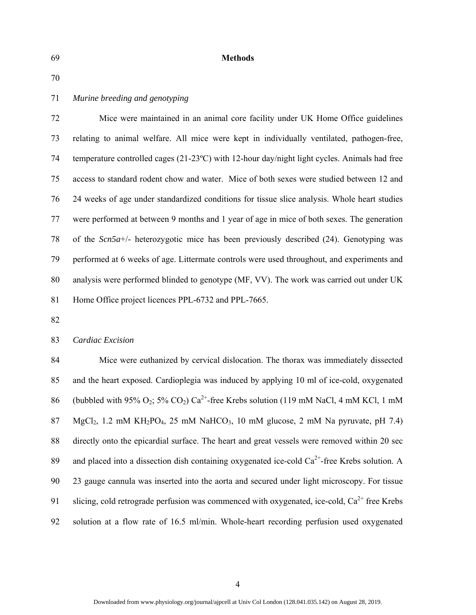### 69 **Methods**

70

# 71 *Murine breeding and genotyping*

72 Mice were maintained in an animal core facility under UK Home Office guidelines 73 relating to animal welfare. All mice were kept in individually ventilated, pathogen-free, 74 temperature controlled cages (21-23ºC) with 12-hour day/night light cycles. Animals had free 75 access to standard rodent chow and water. Mice of both sexes were studied between 12 and 76 24 weeks of age under standardized conditions for tissue slice analysis. Whole heart studies 77 were performed at between 9 months and 1 year of age in mice of both sexes. The generation 78 of the *Scn5a*+/- heterozygotic mice has been previously described (24). Genotyping was 79 performed at 6 weeks of age. Littermate controls were used throughout, and experiments and 80 analysis were performed blinded to genotype (MF, VV). The work was carried out under UK 81 Home Office project licences PPL-6732 and PPL-7665.

82

# 83 *Cardiac Excision*

84 Mice were euthanized by cervical dislocation. The thorax was immediately dissected 85 and the heart exposed. Cardioplegia was induced by applying 10 ml of ice-cold, oxygenated 86 (bubbled with 95%  $O_2$ ; 5%  $CO_2$ )  $Ca^{2+}$ -free Krebs solution (119 mM NaCl, 4 mM KCl, 1 mM 87 MgCl<sub>2</sub>, 1.2 mM KH<sub>2</sub>PO<sub>4</sub>, 25 mM NaHCO<sub>3</sub>, 10 mM glucose, 2 mM Na pyruvate, pH 7.4) 88 directly onto the epicardial surface. The heart and great vessels were removed within 20 sec 89 and placed into a dissection dish containing oxygenated ice-cold  $Ca^{2+}$ -free Krebs solution. A 90 23 gauge cannula was inserted into the aorta and secured under light microscopy. For tissue 91 slicing, cold retrograde perfusion was commenced with oxygenated, ice-cold,  $Ca^{2+}$  free Krebs 92 solution at a flow rate of 16.5 ml/min. Whole-heart recording perfusion used oxygenated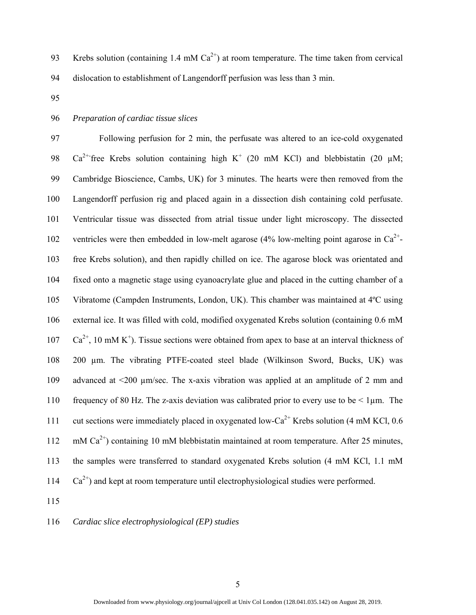- 93 Krebs solution (containing 1.4 mM  $Ca^{2+}$ ) at room temperature. The time taken from cervical 94 dislocation to establishment of Langendorff perfusion was less than 3 min.
- 95

## 96 *Preparation of cardiac tissue slices*

97 Following perfusion for 2 min, the perfusate was altered to an ice-cold oxygenated 98  $Ca^{2+}$  free Krebs solution containing high K<sup>+</sup> (20 mM KCl) and blebbistatin (20 µM; 99 Cambridge Bioscience, Cambs, UK) for 3 minutes. The hearts were then removed from the 100 Langendorff perfusion rig and placed again in a dissection dish containing cold perfusate. 101 Ventricular tissue was dissected from atrial tissue under light microscopy. The dissected 102 ventricles were then embedded in low-melt agarose (4% low-melting point agarose in  $Ca^{2+}$ ) 103 free Krebs solution), and then rapidly chilled on ice. The agarose block was orientated and 104 fixed onto a magnetic stage using cyanoacrylate glue and placed in the cutting chamber of a 105 Vibratome (Campden Instruments, London, UK). This chamber was maintained at 4ºC using 106 external ice. It was filled with cold, modified oxygenated Krebs solution (containing 0.6 mM  $Ca^{2+}$ , 10 mM K<sup>+</sup>). Tissue sections were obtained from apex to base at an interval thickness of 108 200 µm. The vibrating PTFE-coated steel blade (Wilkinson Sword, Bucks, UK) was 109 advanced at <200 µm/sec. The x-axis vibration was applied at an amplitude of 2 mm and 110 frequency of 80 Hz. The z-axis deviation was calibrated prior to every use to be < 1µm. The 111 cut sections were immediately placed in oxygenated low-Ca<sup>2+</sup> Krebs solution (4 mM KCl, 0.6) 112 mM  $Ca^{2+}$ ) containing 10 mM blebbistatin maintained at room temperature. After 25 minutes, 113 the samples were transferred to standard oxygenated Krebs solution (4 mM KCl, 1.1 mM  $Ca<sup>2+</sup>$  and kept at room temperature until electrophysiological studies were performed.

115

116 *Cardiac slice electrophysiological (EP) studies*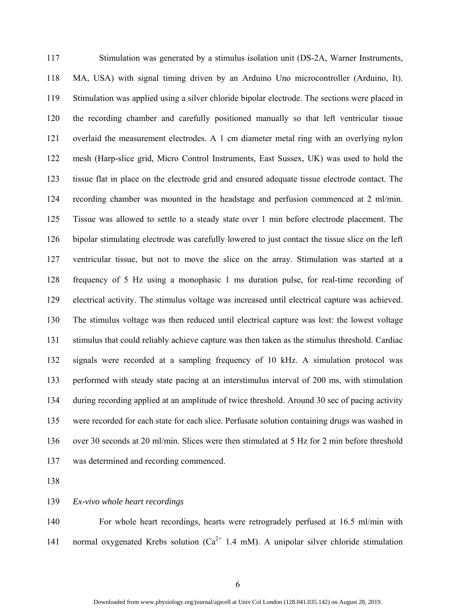117 Stimulation was generated by a stimulus isolation unit (DS-2A, Warner Instruments, 118 MA, USA) with signal timing driven by an Arduino Uno microcontroller (Arduino, It). 119 Stimulation was applied using a silver chloride bipolar electrode. The sections were placed in 120 the recording chamber and carefully positioned manually so that left ventricular tissue 121 overlaid the measurement electrodes. A 1 cm diameter metal ring with an overlying nylon 122 mesh (Harp-slice grid, Micro Control Instruments, East Sussex, UK) was used to hold the 123 tissue flat in place on the electrode grid and ensured adequate tissue electrode contact. The 124 recording chamber was mounted in the headstage and perfusion commenced at 2 ml/min. 125 Tissue was allowed to settle to a steady state over 1 min before electrode placement. The 126 bipolar stimulating electrode was carefully lowered to just contact the tissue slice on the left 127 ventricular tissue, but not to move the slice on the array. Stimulation was started at a 128 frequency of 5 Hz using a monophasic 1 ms duration pulse, for real-time recording of 129 electrical activity. The stimulus voltage was increased until electrical capture was achieved. 130 The stimulus voltage was then reduced until electrical capture was lost: the lowest voltage 131 stimulus that could reliably achieve capture was then taken as the stimulus threshold. Cardiac 132 signals were recorded at a sampling frequency of 10 kHz. A simulation protocol was 133 performed with steady state pacing at an interstimulus interval of 200 ms, with stimulation 134 during recording applied at an amplitude of twice threshold. Around 30 sec of pacing activity 135 were recorded for each state for each slice. Perfusate solution containing drugs was washed in 136 over 30 seconds at 20 ml/min. Slices were then stimulated at 5 Hz for 2 min before threshold 137 was determined and recording commenced.

138

139 *Ex-vivo whole heart recordings* 

140 For whole heart recordings, hearts were retrogradely perfused at 16.5 ml/min with 141 normal oxygenated Krebs solution  $(Ca^{2+} 1.4 \text{ mM})$ . A unipolar silver chloride stimulation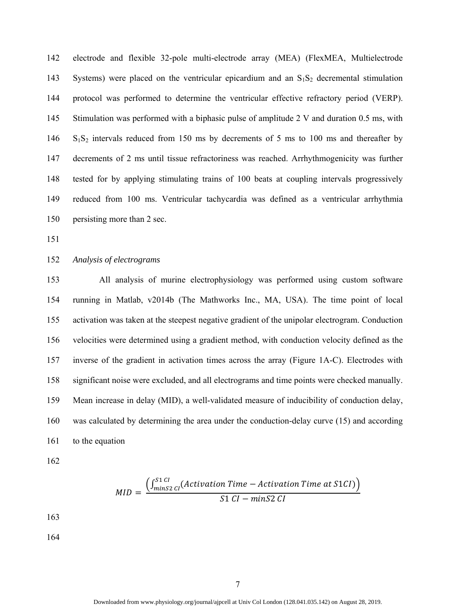142 electrode and flexible 32-pole multi-electrode array (MEA) (FlexMEA, Multielectrode 143 Systems) were placed on the ventricular epicardium and an  $S_1S_2$  decremental stimulation 144 protocol was performed to determine the ventricular effective refractory period (VERP). 145 Stimulation was performed with a biphasic pulse of amplitude 2 V and duration 0.5 ms, with 146 S<sub>1</sub>S<sub>2</sub> intervals reduced from 150 ms by decrements of 5 ms to 100 ms and thereafter by 147 decrements of 2 ms until tissue refractoriness was reached. Arrhythmogenicity was further 148 tested for by applying stimulating trains of 100 beats at coupling intervals progressively 149 reduced from 100 ms. Ventricular tachycardia was defined as a ventricular arrhythmia 150 persisting more than 2 sec.

151

152 *Analysis of electrograms* 

153 All analysis of murine electrophysiology was performed using custom software 154 running in Matlab, v2014b (The Mathworks Inc., MA, USA). The time point of local 155 activation was taken at the steepest negative gradient of the unipolar electrogram. Conduction 156 velocities were determined using a gradient method, with conduction velocity defined as the 157 inverse of the gradient in activation times across the array (Figure 1A-C). Electrodes with 158 significant noise were excluded, and all electrograms and time points were checked manually. 159 Mean increase in delay (MID), a well-validated measure of inducibility of conduction delay, 160 was calculated by determining the area under the conduction-delay curve (15) and according 161 to the equation

162

$$
MID = \frac{\left(\int_{minS2\ CI}^{S1\ CI}\left( Activation\ Time\ - Activation\ Time\ at\ S1CI\right)\right)}{S1\ CI - minS2\ CI}
$$

163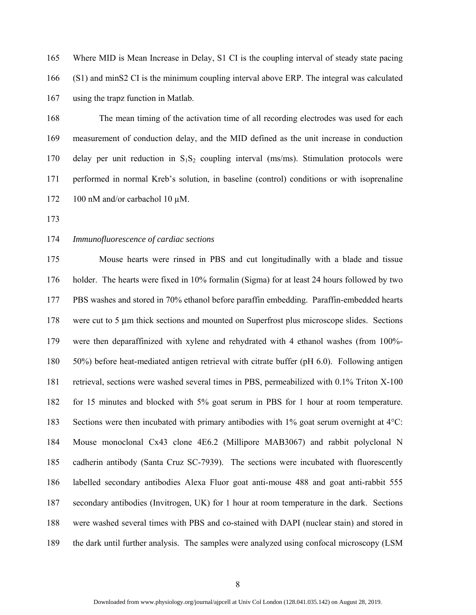165 Where MID is Mean Increase in Delay, S1 CI is the coupling interval of steady state pacing 166 (S1) and minS2 CI is the minimum coupling interval above ERP. The integral was calculated 167 using the trapz function in Matlab.

168 The mean timing of the activation time of all recording electrodes was used for each 169 measurement of conduction delay, and the MID defined as the unit increase in conduction 170 delay per unit reduction in  $S_1S_2$  coupling interval (ms/ms). Stimulation protocols were 171 performed in normal Kreb's solution, in baseline (control) conditions or with isoprenaline 172 100 nM and/or carbachol 10 µM.

173

# 174 *Immunofluorescence of cardiac sections*

175 Mouse hearts were rinsed in PBS and cut longitudinally with a blade and tissue 176 holder. The hearts were fixed in 10% formalin (Sigma) for at least 24 hours followed by two 177 PBS washes and stored in 70% ethanol before paraffin embedding. Paraffin-embedded hearts 178 were cut to 5 μm thick sections and mounted on Superfrost plus microscope slides. Sections 179 were then deparaffinized with xylene and rehydrated with 4 ethanol washes (from 100%- 180 50%) before heat-mediated antigen retrieval with citrate buffer (pH 6.0). Following antigen 181 retrieval, sections were washed several times in PBS, permeabilized with 0.1% Triton X-100 182 for 15 minutes and blocked with 5% goat serum in PBS for 1 hour at room temperature. 183 Sections were then incubated with primary antibodies with 1% goat serum overnight at 4°C: 184 Mouse monoclonal Cx43 clone 4E6.2 (Millipore MAB3067) and rabbit polyclonal N 185 cadherin antibody (Santa Cruz SC-7939). The sections were incubated with fluorescently 186 labelled secondary antibodies Alexa Fluor goat anti-mouse 488 and goat anti-rabbit 555 187 secondary antibodies (Invitrogen, UK) for 1 hour at room temperature in the dark. Sections 188 were washed several times with PBS and co-stained with DAPI (nuclear stain) and stored in 189 the dark until further analysis. The samples were analyzed using confocal microscopy (LSM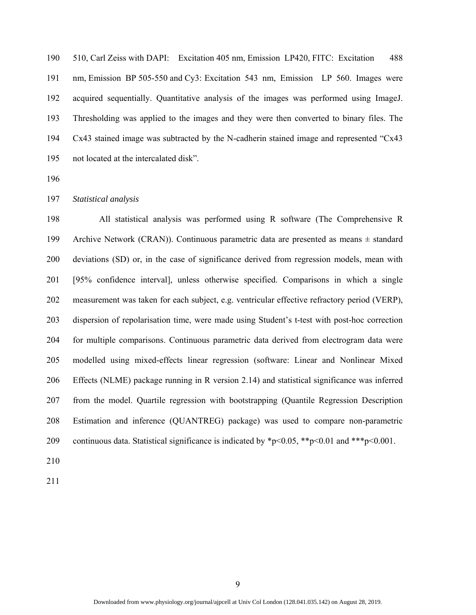190 510, Carl Zeiss with DAPI: Excitation 405 nm, Emission LP420, FITC: Excitation 488 191 nm, Emission BP 505-550 and Cy3: Excitation 543 nm, Emission LP 560. Images were 192 acquired sequentially. Quantitative analysis of the images was performed using ImageJ. 193 Thresholding was applied to the images and they were then converted to binary files. The 194 Cx43 stained image was subtracted by the N-cadherin stained image and represented "Cx43 195 not located at the intercalated disk".

196

#### 197 *Statistical analysis*

198 All statistical analysis was performed using R software (The Comprehensive R 199 Archive Network (CRAN)). Continuous parametric data are presented as means ± standard 200 deviations (SD) or, in the case of significance derived from regression models, mean with 201 [95% confidence interval], unless otherwise specified. Comparisons in which a single 202 measurement was taken for each subject, e.g. ventricular effective refractory period (VERP), 203 dispersion of repolarisation time, were made using Student's t-test with post-hoc correction 204 for multiple comparisons. Continuous parametric data derived from electrogram data were 205 modelled using mixed-effects linear regression (software: Linear and Nonlinear Mixed 206 Effects (NLME) package running in R version 2.14) and statistical significance was inferred 207 from the model. Quartile regression with bootstrapping (Quantile Regression Description 208 Estimation and inference (QUANTREG) package) was used to compare non-parametric 209 continuous data. Statistical significance is indicated by  $p<0.05$ ,  $\frac{p<0.01}{p<0.01}$  and  $\frac{p<0.001}{p<0.001}$ .

210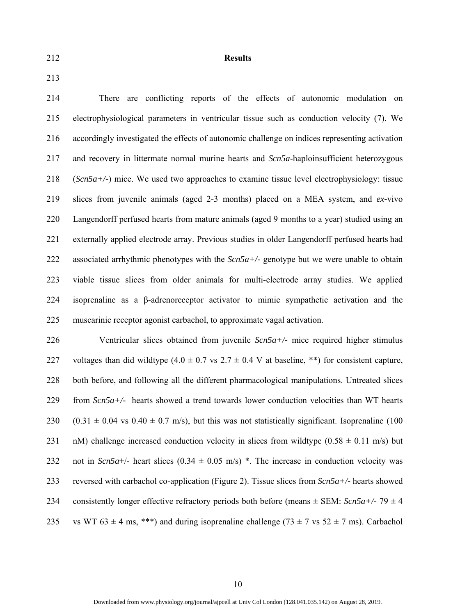212 **Results** 

213

214 There are conflicting reports of the effects of autonomic modulation on 215 electrophysiological parameters in ventricular tissue such as conduction velocity (7). We 216 accordingly investigated the effects of autonomic challenge on indices representing activation 217 and recovery in littermate normal murine hearts and *Scn5a*-haploinsufficient heterozygous 218 (*Scn5a+/-*) mice. We used two approaches to examine tissue level electrophysiology: tissue 219 slices from juvenile animals (aged 2-3 months) placed on a MEA system, and *ex-*vivo 220 Langendorff perfused hearts from mature animals (aged 9 months to a year) studied using an 221 externally applied electrode array. Previous studies in older Langendorff perfused hearts had 222 associated arrhythmic phenotypes with the *Scn5a+/-* genotype but we were unable to obtain 223 viable tissue slices from older animals for multi-electrode array studies. We applied 224 isoprenaline as a β-adrenoreceptor activator to mimic sympathetic activation and the 225 muscarinic receptor agonist carbachol, to approximate vagal activation.

226 Ventricular slices obtained from juvenile *Scn5a+/-* mice required higher stimulus 227 voltages than did wildtype  $(4.0 \pm 0.7 \text{ vs } 2.7 \pm 0.4 \text{ V at baseline, **})$  for consistent capture, 228 both before, and following all the different pharmacological manipulations. Untreated slices 229 from *Scn5a+/-* hearts showed a trend towards lower conduction velocities than WT hearts 230 (0.31  $\pm$  0.04 vs 0.40  $\pm$  0.7 m/s), but this was not statistically significant. Isoprenaline (100 231 nM) challenge increased conduction velocity in slices from wildtype  $(0.58 \pm 0.11 \text{ m/s})$  but 232 not in *Scn5a*+/- heart slices  $(0.34 \pm 0.05 \text{ m/s})$  \*. The increase in conduction velocity was 233 reversed with carbachol co-application (Figure 2). Tissue slices from *Scn5a+/-* hearts showed 234 consistently longer effective refractory periods both before (means  $\pm$  SEM: *Scn5a+/-* 79  $\pm$  4 235 vs WT  $63 \pm 4$  ms, \*\*\*) and during isoprenaline challenge  $(73 \pm 7 \text{ vs } 52 \pm 7 \text{ ms})$ . Carbachol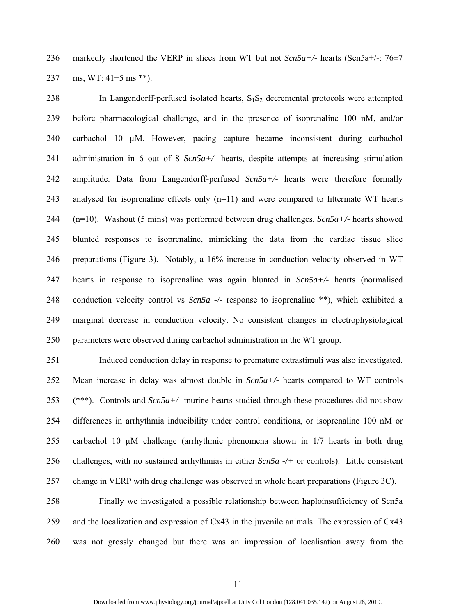236 markedly shortened the VERP in slices from WT but not *Scn5a+/-* hearts (Scn5a+/-: 76±7 237 ms, WT:  $41\pm5$  ms \*\*).

238 In Langendorff-perfused isolated hearts,  $S_1S_2$  decremental protocols were attempted 239 before pharmacological challenge, and in the presence of isoprenaline 100 nM, and/or 240 carbachol 10 µM. However, pacing capture became inconsistent during carbachol 241 administration in 6 out of 8 *Scn5a+/-* hearts, despite attempts at increasing stimulation 242 amplitude. Data from Langendorff-perfused *Scn5a+/-* hearts were therefore formally 243 analysed for isoprenaline effects only (n=11) and were compared to littermate WT hearts 244 (n=10). Washout (5 mins) was performed between drug challenges. *Scn5a+/-* hearts showed 245 blunted responses to isoprenaline, mimicking the data from the cardiac tissue slice 246 preparations (Figure 3)*.* Notably, a 16% increase in conduction velocity observed in WT 247 hearts in response to isoprenaline was again blunted in *Scn5a+/-* hearts (normalised 248 conduction velocity control vs *Scn5a -/-* response to isoprenaline \*\*), which exhibited a 249 marginal decrease in conduction velocity. No consistent changes in electrophysiological 250 parameters were observed during carbachol administration in the WT group.

251 Induced conduction delay in response to premature extrastimuli was also investigated. 252 Mean increase in delay was almost double in *Scn5a+/-* hearts compared to WT controls 253 (\*\*\*). Controls and *Scn5a+/-* murine hearts studied through these procedures did not show 254 differences in arrhythmia inducibility under control conditions, or isoprenaline 100 nM or 255 carbachol 10 µM challenge (arrhythmic phenomena shown in 1/7 hearts in both drug 256 challenges, with no sustained arrhythmias in either *Scn5a -/+* or controls). Little consistent 257 change in VERP with drug challenge was observed in whole heart preparations (Figure 3C).

258 Finally we investigated a possible relationship between haploinsufficiency of Scn5a 259 and the localization and expression of Cx43 in the juvenile animals. The expression of Cx43 260 was not grossly changed but there was an impression of localisation away from the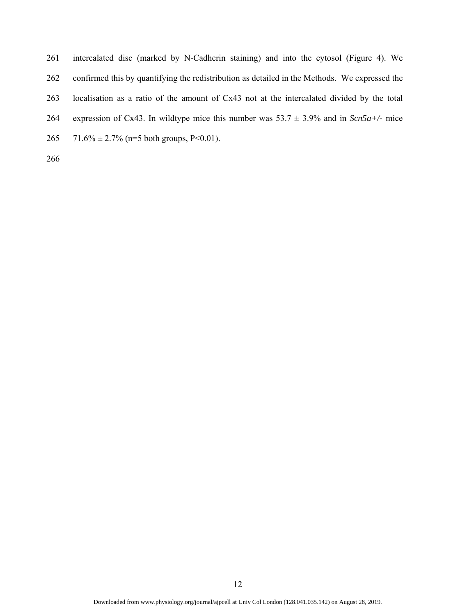- 261 intercalated disc (marked by N-Cadherin staining) and into the cytosol (Figure 4). We 262 confirmed this by quantifying the redistribution as detailed in the Methods. We expressed the 263 localisation as a ratio of the amount of Cx43 not at the intercalated divided by the total 264 expression of Cx43. In wildtype mice this number was  $53.7 \pm 3.9\%$  and in *Scn5a+/-* mice
- 265 71.6%  $\pm$  2.7% (n=5 both groups, P<0.01).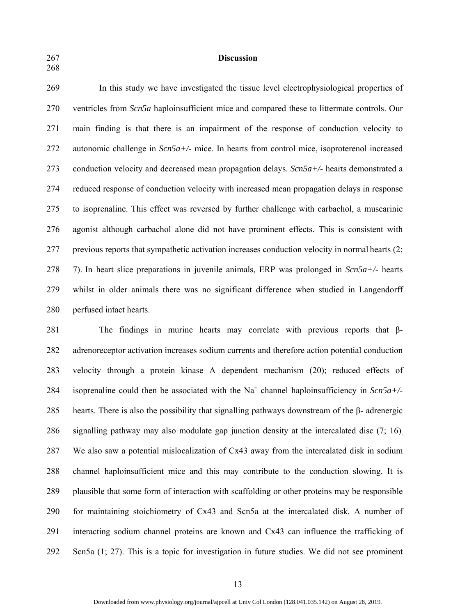268

## 267 **Discussion**

269 In this study we have investigated the tissue level electrophysiological properties of 270 ventricles from *Scn5a* haploinsufficient mice and compared these to littermate controls. Our 271 main finding is that there is an impairment of the response of conduction velocity to 272 autonomic challenge in *Scn5a+/-* mice. In hearts from control mice, isoproterenol increased 273 conduction velocity and decreased mean propagation delays. *Scn5a+/-* hearts demonstrated a 274 reduced response of conduction velocity with increased mean propagation delays in response 275 to isoprenaline. This effect was reversed by further challenge with carbachol, a muscarinic 276 agonist although carbachol alone did not have prominent effects. This is consistent with 277 previous reports that sympathetic activation increases conduction velocity in normal hearts (2; 278 7). In heart slice preparations in juvenile animals, ERP was prolonged in *Scn5a+/-* hearts 279 whilst in older animals there was no significant difference when studied in Langendorff 280 perfused intact hearts.

281 The findings in murine hearts may correlate with previous reports that β-282 adrenoreceptor activation increases sodium currents and therefore action potential conduction 283 velocity through a protein kinase A dependent mechanism (20); reduced effects of 284 isoprenaline could then be associated with the  $Na<sup>+</sup>$  channel haploinsufficiency in *Scn5a+/-*285 hearts. There is also the possibility that signalling pathways downstream of the β- adrenergic 286 signalling pathway may also modulate gap junction density at the intercalated disc (7; 16). 287 We also saw a potential mislocalization of Cx43 away from the intercalated disk in sodium 288 channel haploinsufficient mice and this may contribute to the conduction slowing. It is 289 plausible that some form of interaction with scaffolding or other proteins may be responsible 290 for maintaining stoichiometry of Cx43 and Scn5a at the intercalated disk. A number of 291 interacting sodium channel proteins are known and Cx43 can influence the trafficking of 292 Scn5a (1; 27). This is a topic for investigation in future studies. We did not see prominent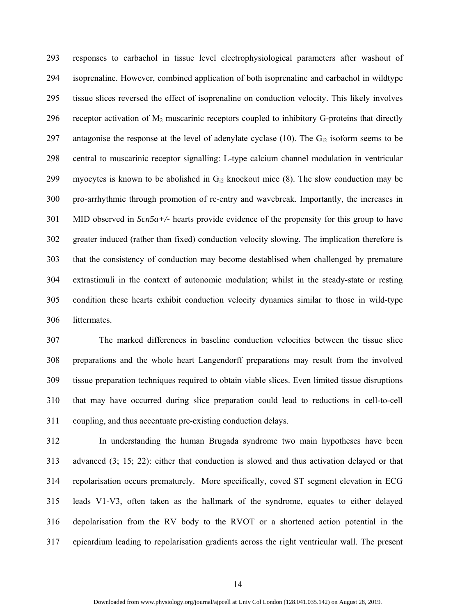293 responses to carbachol in tissue level electrophysiological parameters after washout of 294 isoprenaline. However, combined application of both isoprenaline and carbachol in wildtype 295 tissue slices reversed the effect of isoprenaline on conduction velocity. This likely involves 296 receptor activation of  $M_2$  muscarinic receptors coupled to inhibitory G-proteins that directly 297 antagonise the response at the level of adenylate cyclase (10). The  $G_{i2}$  isoform seems to be 298 central to muscarinic receptor signalling: L-type calcium channel modulation in ventricular 299 myocytes is known to be abolished in  $G_{12}$  knockout mice (8). The slow conduction may be 300 pro-arrhythmic through promotion of re-entry and wavebreak. Importantly, the increases in 301 MID observed in *Scn5a+/-* hearts provide evidence of the propensity for this group to have 302 greater induced (rather than fixed) conduction velocity slowing. The implication therefore is 303 that the consistency of conduction may become destablised when challenged by premature 304 extrastimuli in the context of autonomic modulation; whilst in the steady-state or resting 305 condition these hearts exhibit conduction velocity dynamics similar to those in wild-type 306 littermates.

307 The marked differences in baseline conduction velocities between the tissue slice 308 preparations and the whole heart Langendorff preparations may result from the involved 309 tissue preparation techniques required to obtain viable slices. Even limited tissue disruptions 310 that may have occurred during slice preparation could lead to reductions in cell-to-cell 311 coupling, and thus accentuate pre-existing conduction delays.

312 In understanding the human Brugada syndrome two main hypotheses have been 313 advanced (3; 15; 22): either that conduction is slowed and thus activation delayed or that 314 repolarisation occurs prematurely. More specifically, coved ST segment elevation in ECG 315 leads V1-V3, often taken as the hallmark of the syndrome, equates to either delayed 316 depolarisation from the RV body to the RVOT or a shortened action potential in the 317 epicardium leading to repolarisation gradients across the right ventricular wall. The present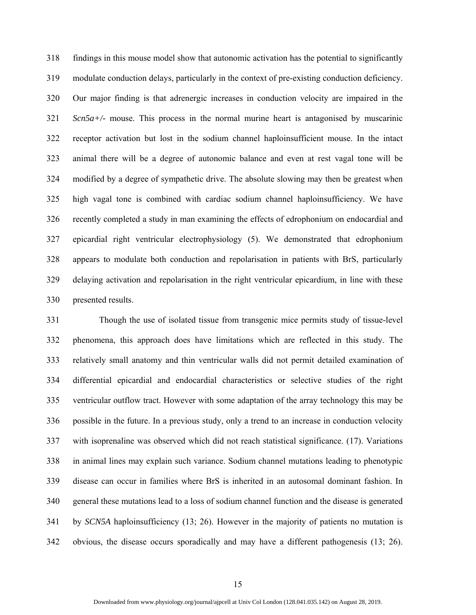318 findings in this mouse model show that autonomic activation has the potential to significantly 319 modulate conduction delays, particularly in the context of pre-existing conduction deficiency. 320 Our major finding is that adrenergic increases in conduction velocity are impaired in the 321 *Scn5a+/-* mouse. This process in the normal murine heart is antagonised by muscarinic 322 receptor activation but lost in the sodium channel haploinsufficient mouse. In the intact 323 animal there will be a degree of autonomic balance and even at rest vagal tone will be 324 modified by a degree of sympathetic drive. The absolute slowing may then be greatest when 325 high vagal tone is combined with cardiac sodium channel haploinsufficiency. We have 326 recently completed a study in man examining the effects of edrophonium on endocardial and 327 epicardial right ventricular electrophysiology (5). We demonstrated that edrophonium 328 appears to modulate both conduction and repolarisation in patients with BrS, particularly 329 delaying activation and repolarisation in the right ventricular epicardium, in line with these 330 presented results.

331 Though the use of isolated tissue from transgenic mice permits study of tissue-level 332 phenomena, this approach does have limitations which are reflected in this study. The 333 relatively small anatomy and thin ventricular walls did not permit detailed examination of 334 differential epicardial and endocardial characteristics or selective studies of the right 335 ventricular outflow tract. However with some adaptation of the array technology this may be 336 possible in the future. In a previous study, only a trend to an increase in conduction velocity 337 with isoprenaline was observed which did not reach statistical significance. (17). Variations 338 in animal lines may explain such variance. Sodium channel mutations leading to phenotypic 339 disease can occur in families where BrS is inherited in an autosomal dominant fashion. In 340 general these mutations lead to a loss of sodium channel function and the disease is generated 341 by *SCN5A* haploinsufficiency (13; 26). However in the majority of patients no mutation is 342 obvious, the disease occurs sporadically and may have a different pathogenesis (13; 26).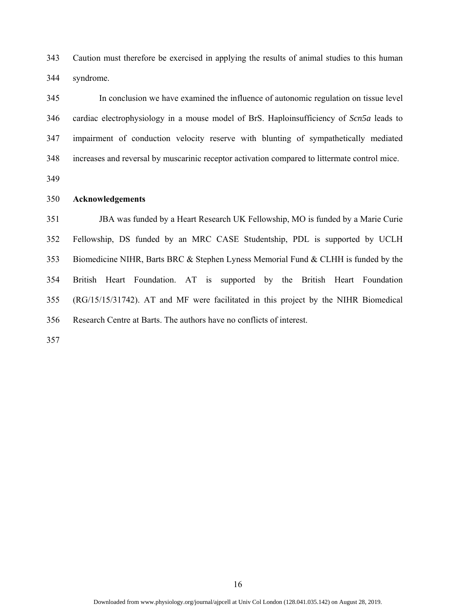343 Caution must therefore be exercised in applying the results of animal studies to this human 344 syndrome.

345 In conclusion we have examined the influence of autonomic regulation on tissue level 346 cardiac electrophysiology in a mouse model of BrS. Haploinsufficiency of *Scn5a* leads to 347 impairment of conduction velocity reserve with blunting of sympathetically mediated 348 increases and reversal by muscarinic receptor activation compared to littermate control mice.

349

### 350 **Acknowledgements**

351 JBA was funded by a Heart Research UK Fellowship, MO is funded by a Marie Curie 352 Fellowship, DS funded by an MRC CASE Studentship, PDL is supported by UCLH 353 Biomedicine NIHR, Barts BRC & Stephen Lyness Memorial Fund & CLHH is funded by the 354 British Heart Foundation. AT is supported by the British Heart Foundation 355 (RG/15/15/31742). AT and MF were facilitated in this project by the NIHR Biomedical 356 Research Centre at Barts. The authors have no conflicts of interest.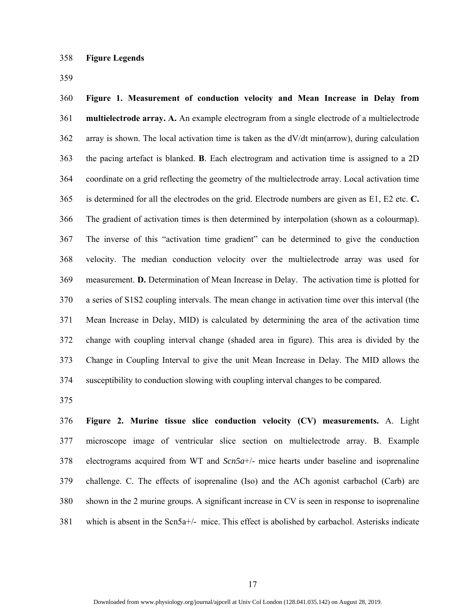359

360 **Figure 1. Measurement of conduction velocity and Mean Increase in Delay from**  361 **multielectrode array. A.** An example electrogram from a single electrode of a multielectrode 362 array is shown. The local activation time is taken as the dV/dt min(arrow), during calculation 363 the pacing artefact is blanked. **B**. Each electrogram and activation time is assigned to a 2D 364 coordinate on a grid reflecting the geometry of the multielectrode array. Local activation time 365 is determined for all the electrodes on the grid. Electrode numbers are given as E1, E2 etc. **C.** 366 The gradient of activation times is then determined by interpolation (shown as a colourmap). 367 The inverse of this "activation time gradient" can be determined to give the conduction 368 velocity. The median conduction velocity over the multielectrode array was used for 369 measurement. **D.** Determination of Mean Increase in Delay. The activation time is plotted for 370 a series of S1S2 coupling intervals. The mean change in activation time over this interval (the 371 Mean Increase in Delay, MID) is calculated by determining the area of the activation time 372 change with coupling interval change (shaded area in figure). This area is divided by the 373 Change in Coupling Interval to give the unit Mean Increase in Delay. The MID allows the 374 susceptibility to conduction slowing with coupling interval changes to be compared.

375

376 **Figure 2. Murine tissue slice conduction velocity (CV) measurements.** A. Light 377 microscope image of ventricular slice section on multielectrode array. B. Example 378 electrograms acquired from WT and *Scn5a*+/- mice hearts under baseline and isoprenaline 379 challenge. C. The effects of isoprenaline (Iso) and the ACh agonist carbachol (Carb) are 380 shown in the 2 murine groups. A significant increase in CV is seen in response to isoprenaline 381 which is absent in the Scn5a+/- mice. This effect is abolished by carbachol. Asterisks indicate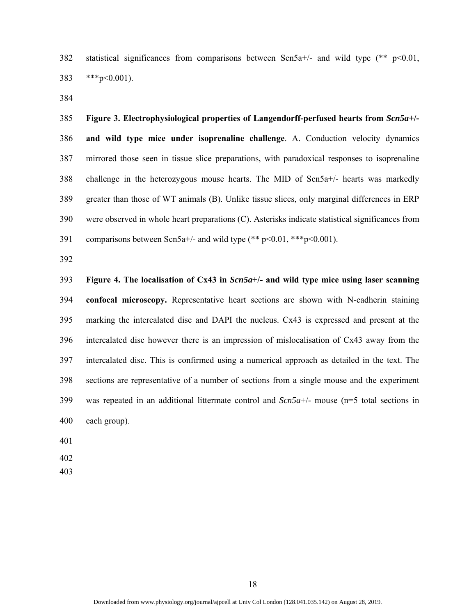382 statistical significances from comparisons between  $Scn5a+/-$  and wild type (\*\* p<0.01, 383 \*\*\*p<0.001).

384

385 **Figure 3. Electrophysiological properties of Langendorff-perfused hearts from** *Scn5a***+/-**  386 **and wild type mice under isoprenaline challenge**. A. Conduction velocity dynamics 387 mirrored those seen in tissue slice preparations, with paradoxical responses to isoprenaline 388 challenge in the heterozygous mouse hearts. The MID of Scn5a+/- hearts was markedly 389 greater than those of WT animals (B). Unlike tissue slices, only marginal differences in ERP 390 were observed in whole heart preparations (C). Asterisks indicate statistical significances from 391 comparisons between Scn5a+/- and wild type  $(** p<0.01, **p<0.001)$ .

392

393 **Figure 4. The localisation of Cx43 in** *Scn5a***+/- and wild type mice using laser scanning**  394 **confocal microscopy.** Representative heart sections are shown with N-cadherin staining 395 marking the intercalated disc and DAPI the nucleus. Cx43 is expressed and present at the 396 intercalated disc however there is an impression of mislocalisation of Cx43 away from the 397 intercalated disc. This is confirmed using a numerical approach as detailed in the text. The 398 sections are representative of a number of sections from a single mouse and the experiment 399 was repeated in an additional littermate control and *Scn5a*+/- mouse (n=5 total sections in 400 each group).

401

402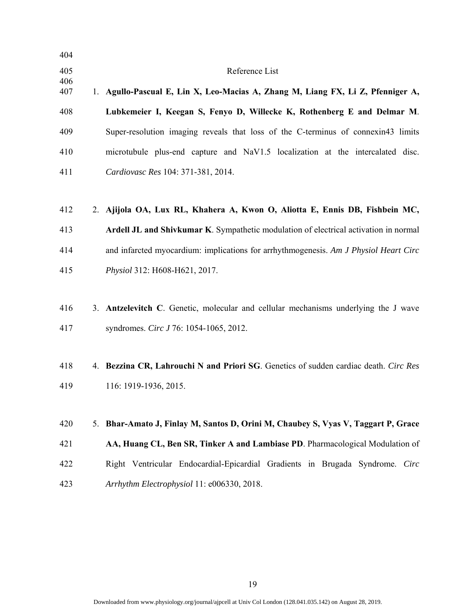| 404        |                                                                                      |
|------------|--------------------------------------------------------------------------------------|
| 405        | Reference List                                                                       |
| 406<br>407 | 1. Agullo-Pascual E, Lin X, Leo-Macias A, Zhang M, Liang FX, Li Z, Pfenniger A,      |
| 408        | Lubkemeier I, Keegan S, Fenyo D, Willecke K, Rothenberg E and Delmar M.              |
| 409        | Super-resolution imaging reveals that loss of the C-terminus of connexin43 limits    |
| 410        | microtubule plus-end capture and NaV1.5 localization at the intercalated disc.       |
| 411        | Cardiovasc Res 104: 371-381, 2014.                                                   |
| 412        | 2. Ajijola OA, Lux RL, Khahera A, Kwon O, Aliotta E, Ennis DB, Fishbein MC,          |
| 413        | Ardell JL and Shivkumar K. Sympathetic modulation of electrical activation in normal |
| 414        | and infarcted myocardium: implications for arrhythmogenesis. Am J Physiol Heart Circ |
| 415        | Physiol 312: H608-H621, 2017.                                                        |
| 416        | 3. Antzelevitch C. Genetic, molecular and cellular mechanisms underlying the J wave  |
| 417        | syndromes. Circ J 76: 1054-1065, 2012.                                               |
| 418        | 4. Bezzina CR, Lahrouchi N and Priori SG. Genetics of sudden cardiac death. Circ Res |
| 419        | 116: 1919-1936, 2015.                                                                |
| 420        | 5. Bhar-Amato J, Finlay M, Santos D, Orini M, Chaubey S, Vyas V, Taggart P, Grace    |
| 421        | AA, Huang CL, Ben SR, Tinker A and Lambiase PD. Pharmacological Modulation of        |
| 422        | Right Ventricular Endocardial-Epicardial Gradients in Brugada Syndrome. Circ         |
| 423        | Arrhythm Electrophysiol 11: e006330, 2018.                                           |
|            |                                                                                      |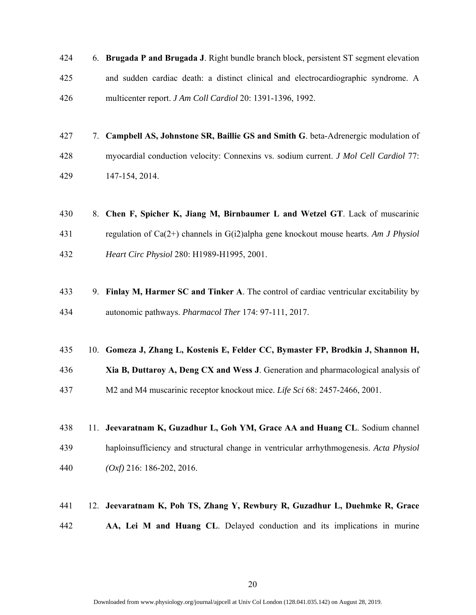- 424 6. **Brugada P and Brugada J**. Right bundle branch block, persistent ST segment elevation 425 and sudden cardiac death: a distinct clinical and electrocardiographic syndrome. A 426 multicenter report. *J Am Coll Cardiol* 20: 1391-1396, 1992.
- 427 7. **Campbell AS, Johnstone SR, Baillie GS and Smith G**. beta-Adrenergic modulation of 428 myocardial conduction velocity: Connexins vs. sodium current. *J Mol Cell Cardiol* 77: 429 147-154, 2014.
- 430 8. **Chen F, Spicher K, Jiang M, Birnbaumer L and Wetzel GT**. Lack of muscarinic 431 regulation of Ca(2+) channels in G(i2)alpha gene knockout mouse hearts. *Am J Physiol*  432 *Heart Circ Physiol* 280: H1989-H1995, 2001.
- 433 9. **Finlay M, Harmer SC and Tinker A**. The control of cardiac ventricular excitability by 434 autonomic pathways. *Pharmacol Ther* 174: 97-111, 2017.
- 435 10. **Gomeza J, Zhang L, Kostenis E, Felder CC, Bymaster FP, Brodkin J, Shannon H,**
- 436 **Xia B, Duttaroy A, Deng CX and Wess J**. Generation and pharmacological analysis of 437 M2 and M4 muscarinic receptor knockout mice. *Life Sci* 68: 2457-2466, 2001.
- 438 11. **Jeevaratnam K, Guzadhur L, Goh YM, Grace AA and Huang CL**. Sodium channel 439 haploinsufficiency and structural change in ventricular arrhythmogenesis. *Acta Physiol*  440 *(Oxf)* 216: 186-202, 2016.
- 441 12. **Jeevaratnam K, Poh TS, Zhang Y, Rewbury R, Guzadhur L, Duehmke R, Grace**
- 442 **AA, Lei M and Huang CL**. Delayed conduction and its implications in murine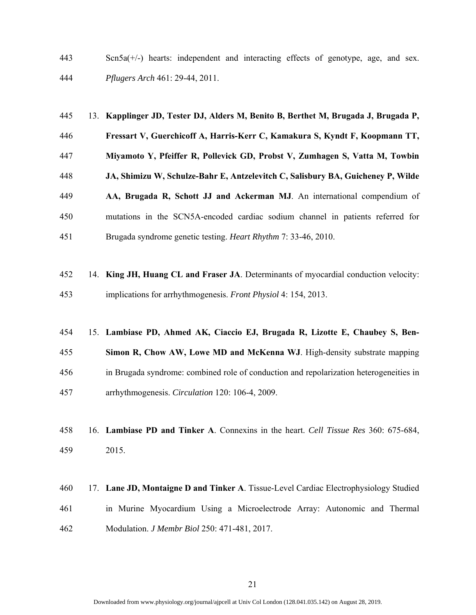443 Scn5a(+/-) hearts: independent and interacting effects of genotype, age, and sex. 444 *Pflugers Arch* 461: 29-44, 2011.

- 445 13. **Kapplinger JD, Tester DJ, Alders M, Benito B, Berthet M, Brugada J, Brugada P,**  446 **Fressart V, Guerchicoff A, Harris-Kerr C, Kamakura S, Kyndt F, Koopmann TT,**  447 **Miyamoto Y, Pfeiffer R, Pollevick GD, Probst V, Zumhagen S, Vatta M, Towbin**  448 **JA, Shimizu W, Schulze-Bahr E, Antzelevitch C, Salisbury BA, Guicheney P, Wilde**  449 **AA, Brugada R, Schott JJ and Ackerman MJ**. An international compendium of 450 mutations in the SCN5A-encoded cardiac sodium channel in patients referred for 451 Brugada syndrome genetic testing. *Heart Rhythm* 7: 33-46, 2010.
- 452 14. **King JH, Huang CL and Fraser JA**. Determinants of myocardial conduction velocity: 453 implications for arrhythmogenesis. *Front Physiol* 4: 154, 2013.
- 454 15. **Lambiase PD, Ahmed AK, Ciaccio EJ, Brugada R, Lizotte E, Chaubey S, Ben-**
- 455 **Simon R, Chow AW, Lowe MD and McKenna WJ**. High-density substrate mapping 456 in Brugada syndrome: combined role of conduction and repolarization heterogeneities in
- 457 arrhythmogenesis. *Circulation* 120: 106-4, 2009.
- 458 16. **Lambiase PD and Tinker A**. Connexins in the heart. *Cell Tissue Res* 360: 675-684, 459 2015.
- 460 17. **Lane JD, Montaigne D and Tinker A**. Tissue-Level Cardiac Electrophysiology Studied 461 in Murine Myocardium Using a Microelectrode Array: Autonomic and Thermal 462 Modulation. *J Membr Biol* 250: 471-481, 2017.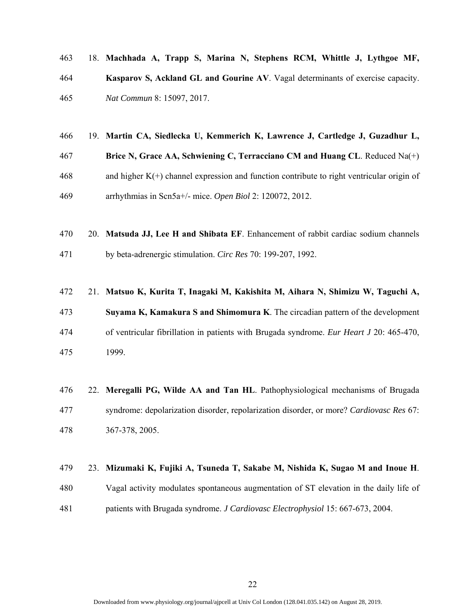- 463 18. **Machhada A, Trapp S, Marina N, Stephens RCM, Whittle J, Lythgoe MF,**  464 **Kasparov S, Ackland GL and Gourine AV**. Vagal determinants of exercise capacity. 465 *Nat Commun* 8: 15097, 2017.
- 466 19. **Martin CA, Siedlecka U, Kemmerich K, Lawrence J, Cartledge J, Guzadhur L,**  467 **Brice N, Grace AA, Schwiening C, Terracciano CM and Huang CL**. Reduced Na(+)  $468$  and higher K(+) channel expression and function contribute to right ventricular origin of 469 arrhythmias in Scn5a+/- mice. *Open Biol* 2: 120072, 2012.
- 470 20. **Matsuda JJ, Lee H and Shibata EF**. Enhancement of rabbit cardiac sodium channels 471 by beta-adrenergic stimulation. *Circ Res* 70: 199-207, 1992.
- 472 21. **Matsuo K, Kurita T, Inagaki M, Kakishita M, Aihara N, Shimizu W, Taguchi A,**  473 **Suyama K, Kamakura S and Shimomura K**. The circadian pattern of the development 474 of ventricular fibrillation in patients with Brugada syndrome. *Eur Heart J* 20: 465-470, 475 1999.
- 476 22. **Meregalli PG, Wilde AA and Tan HL**. Pathophysiological mechanisms of Brugada 477 syndrome: depolarization disorder, repolarization disorder, or more? *Cardiovasc Res* 67: 478 367-378, 2005.

# 479 23. **Mizumaki K, Fujiki A, Tsuneda T, Sakabe M, Nishida K, Sugao M and Inoue H**.

480 Vagal activity modulates spontaneous augmentation of ST elevation in the daily life of 481 patients with Brugada syndrome. *J Cardiovasc Electrophysiol* 15: 667-673, 2004.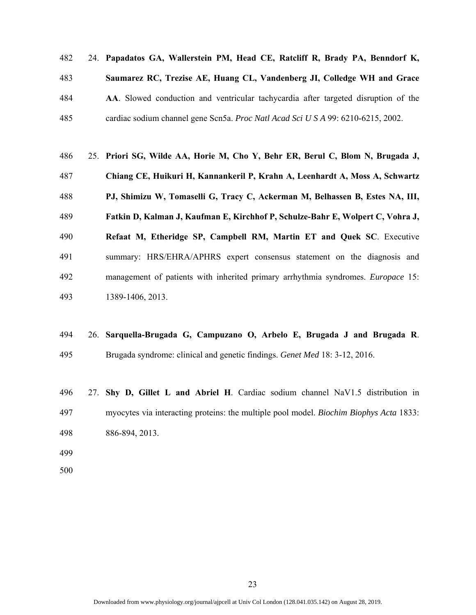482 24. **Papadatos GA, Wallerstein PM, Head CE, Ratcliff R, Brady PA, Benndorf K,** 

- 483 **Saumarez RC, Trezise AE, Huang CL, Vandenberg JI, Colledge WH and Grace**
- 484 **AA**. Slowed conduction and ventricular tachycardia after targeted disruption of the 485 cardiac sodium channel gene Scn5a. *Proc Natl Acad Sci U S A* 99: 6210-6215, 2002.
- 486 25. **Priori SG, Wilde AA, Horie M, Cho Y, Behr ER, Berul C, Blom N, Brugada J,**  487 **Chiang CE, Huikuri H, Kannankeril P, Krahn A, Leenhardt A, Moss A, Schwartz**  488 **PJ, Shimizu W, Tomaselli G, Tracy C, Ackerman M, Belhassen B, Estes NA, III,**  489 **Fatkin D, Kalman J, Kaufman E, Kirchhof P, Schulze-Bahr E, Wolpert C, Vohra J,**  490 **Refaat M, Etheridge SP, Campbell RM, Martin ET and Quek SC**. Executive 491 summary: HRS/EHRA/APHRS expert consensus statement on the diagnosis and 492 management of patients with inherited primary arrhythmia syndromes. *Europace* 15: 493 1389-1406, 2013.
- 494 26. **Sarquella-Brugada G, Campuzano O, Arbelo E, Brugada J and Brugada R**. 495 Brugada syndrome: clinical and genetic findings. *Genet Med* 18: 3-12, 2016.
- 496 27. **Shy D, Gillet L and Abriel H**. Cardiac sodium channel NaV1.5 distribution in 497 myocytes via interacting proteins: the multiple pool model. *Biochim Biophys Acta* 1833:
- 498 886-894, 2013.
- 499
- 500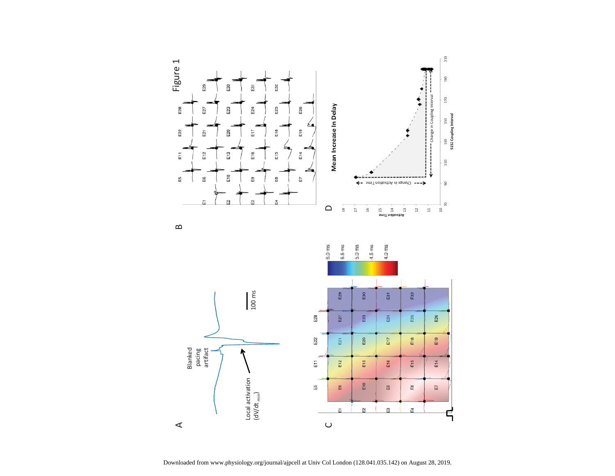



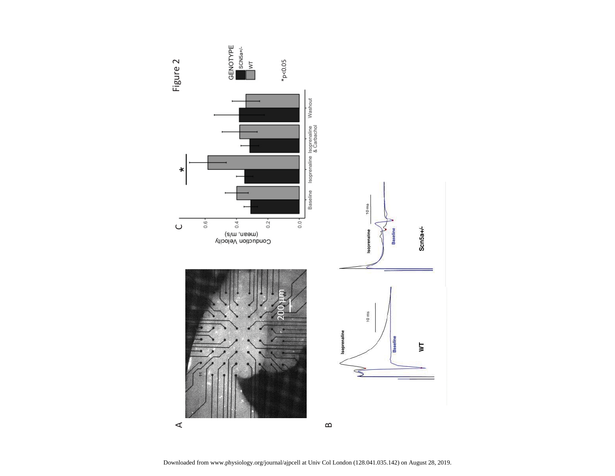

 $\prec$ 

 $\infty$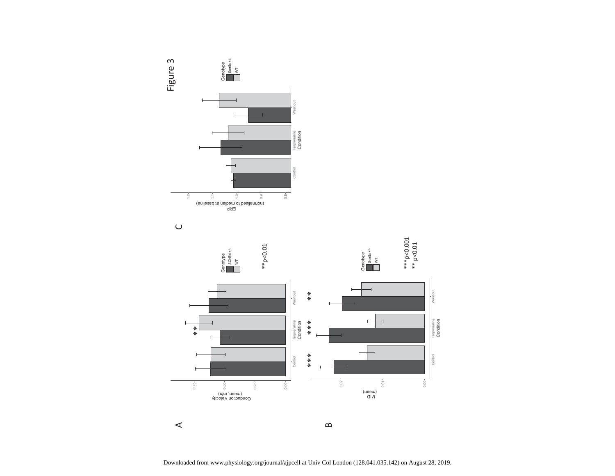





 $\prec$ 

Downloaded from www.physiology.org/journal/ajpcell at Univ Col London (128.041.035.142) on August 28, 2019.